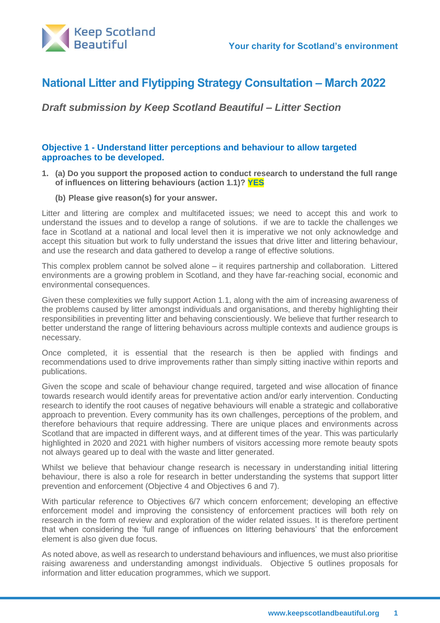

# **National Litter and Flytipping Strategy Consultation – March 2022**

*Draft submission by Keep Scotland Beautiful – Litter Section*

# **Objective 1 - Understand litter perceptions and behaviour to allow targeted approaches to be developed.**

- **1. (a) Do you support the proposed action to conduct research to understand the full range of influences on littering behaviours (action 1.1)? YES**
	- **(b) Please give reason(s) for your answer.**

Litter and littering are complex and multifaceted issues; we need to accept this and work to understand the issues and to develop a range of solutions. if we are to tackle the challenges we face in Scotland at a national and local level then it is imperative we not only acknowledge and accept this situation but work to fully understand the issues that drive litter and littering behaviour, and use the research and data gathered to develop a range of effective solutions.

This complex problem cannot be solved alone – it requires partnership and collaboration. Littered environments are a growing problem in Scotland, and they have far-reaching social, economic and environmental consequences.

Given these complexities we fully support Action 1.1, along with the aim of increasing awareness of the problems caused by litter amongst individuals and organisations, and thereby highlighting their responsibilities in preventing litter and behaving conscientiously. We believe that further research to better understand the range of littering behaviours across multiple contexts and audience groups is necessary.

Once completed, it is essential that the research is then be applied with findings and recommendations used to drive improvements rather than simply sitting inactive within reports and publications.

Given the scope and scale of behaviour change required, targeted and wise allocation of finance towards research would identify areas for preventative action and/or early intervention. Conducting research to identify the root causes of negative behaviours will enable a strategic and collaborative approach to prevention. Every community has its own challenges, perceptions of the problem, and therefore behaviours that require addressing. There are unique places and environments across Scotland that are impacted in different ways, and at different times of the year. This was particularly highlighted in 2020 and 2021 with higher numbers of visitors accessing more remote beauty spots not always geared up to deal with the waste and litter generated.

Whilst we believe that behaviour change research is necessary in understanding initial littering behaviour, there is also a role for research in better understanding the systems that support litter prevention and enforcement (Objective 4 and Objectives 6 and 7).

With particular reference to Objectives 6/7 which concern enforcement; developing an effective enforcement model and improving the consistency of enforcement practices will both rely on research in the form of review and exploration of the wider related issues. It is therefore pertinent that when considering the 'full range of influences on littering behaviours' that the enforcement element is also given due focus.

As noted above, as well as research to understand behaviours and influences, we must also prioritise raising awareness and understanding amongst individuals. Objective 5 outlines proposals for information and litter education programmes, which we support.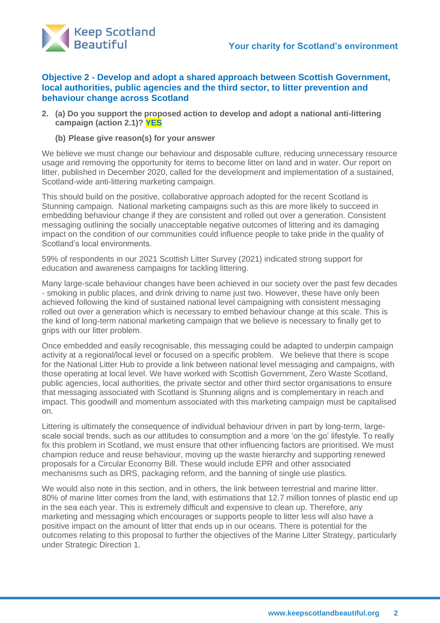

**Objective 2 - Develop and adopt a shared approach between Scottish Government, local authorities, public agencies and the third sector, to litter prevention and behaviour change across Scotland**

**2. (a) Do you support the proposed action to develop and adopt a national anti-littering campaign (action 2.1)? YES**

**(b) Please give reason(s) for your answer**

We believe we must change our behaviour and disposable culture, reducing unnecessary resource usage and removing the opportunity for items to become litter on land and in water. Our report on litter, published in December 2020, called for the development and implementation of a sustained, Scotland-wide anti-littering marketing campaign.

This should build on the positive, collaborative approach adopted for the recent Scotland is Stunning campaign. National marketing campaigns such as this are more likely to succeed in embedding behaviour change if they are consistent and rolled out over a generation. Consistent messaging outlining the socially unacceptable negative outcomes of littering and its damaging impact on the condition of our communities could influence people to take pride in the quality of Scotland's local environments.

59% of respondents in our 2021 Scottish Litter Survey (2021) indicated strong support for education and awareness campaigns for tackling littering.

Many large-scale behaviour changes have been achieved in our society over the past few decades - smoking in public places, and drink driving to name just two. However, these have only been achieved following the kind of sustained national level campaigning with consistent messaging rolled out over a generation which is necessary to embed behaviour change at this scale. This is the kind of long-term national marketing campaign that we believe is necessary to finally get to grips with our litter problem.

Once embedded and easily recognisable, this messaging could be adapted to underpin campaign activity at a regional/local level or focused on a specific problem. We believe that there is scope for the National Litter Hub to provide a link between national level messaging and campaigns, with those operating at local level. We have worked with Scottish Government, Zero Waste Scotland, public agencies, local authorities, the private sector and other third sector organisations to ensure that messaging associated with Scotland is Stunning aligns and is complementary in reach and impact. This goodwill and momentum associated with this marketing campaign must be capitalised on.

Littering is ultimately the consequence of individual behaviour driven in part by long-term, largescale social trends, such as our attitudes to consumption and a more 'on the go' lifestyle. To really fix this problem in Scotland, we must ensure that other influencing factors are prioritised. We must champion reduce and reuse behaviour, moving up the waste hierarchy and supporting renewed proposals for a Circular Economy Bill. These would include EPR and other associated mechanisms such as DRS, packaging reform, and the banning of single use plastics.

We would also note in this section, and in others, the link between terrestrial and marine litter. 80% of marine litter comes from the land, with estimations that 12.7 million tonnes of plastic end up in the sea each year. This is extremely difficult and expensive to clean up. Therefore, any marketing and messaging which encourages or supports people to litter less will also have a positive impact on the amount of litter that ends up in our oceans. There is potential for the outcomes relating to this proposal to further the objectives of the Marine Litter Strategy, particularly under Strategic Direction 1.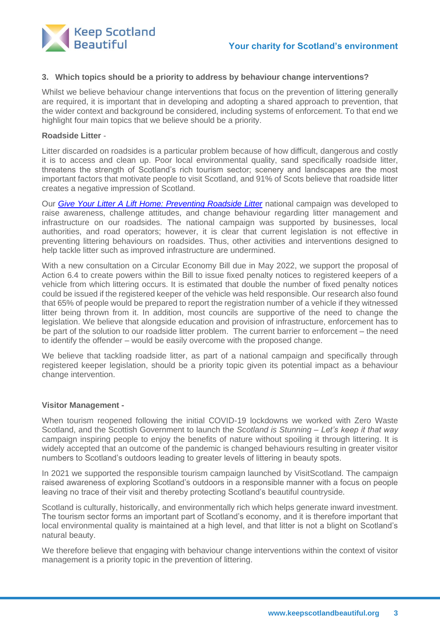

### **3. Which topics should be a priority to address by behaviour change interventions?**

Whilst we believe behaviour change interventions that focus on the prevention of littering generally are required, it is important that in developing and adopting a shared approach to prevention, that the wider context and background be considered, including systems of enforcement. To that end we highlight four main topics that we believe should be a priority.

### **Roadside Litter** -

Litter discarded on roadsides is a particular problem because of how difficult, dangerous and costly it is to access and clean up. Poor local environmental quality, sand specifically roadside litter, threatens the strength of Scotland's rich tourism sector; scenery and landscapes are the most important factors that motivate people to visit Scotland, and 91% of Scots believe that roadside litter creates a negative impression of Scotland.

Our *[Give Your Litter A Lift Home: Preventing Roadside Litter](https://www.keepscotlandbeautiful.org/media/1567217/rl-2016-2018-report-final-low-res-110119.pdf)* national campaign was developed to raise awareness, challenge attitudes, and change behaviour regarding litter management and infrastructure on our roadsides. The national campaign was supported by businesses, local authorities, and road operators; however, it is clear that current legislation is not effective in preventing littering behaviours on roadsides. Thus, other activities and interventions designed to help tackle litter such as improved infrastructure are undermined.

With a new consultation on a Circular Economy Bill due in May 2022, we support the proposal of Action 6.4 to create powers within the Bill to issue fixed penalty notices to registered keepers of a vehicle from which littering occurs. It is estimated that double the number of fixed penalty notices could be issued if the registered keeper of the vehicle was held responsible. Our research also found that 65% of people would be prepared to report the registration number of a vehicle if they witnessed litter being thrown from it. In addition, most councils are supportive of the need to change the legislation. We believe that alongside education and provision of infrastructure, enforcement has to be part of the solution to our roadside litter problem. The current barrier to enforcement – the need to identify the offender – would be easily overcome with the proposed change.

We believe that tackling roadside litter, as part of a national campaign and specifically through registered keeper legislation, should be a priority topic given its potential impact as a behaviour change intervention.

### **Visitor Management -**

When tourism reopened following the initial COVID-19 lockdowns we worked with Zero Waste Scotland, and the Scottish Government to launch the *Scotland is Stunning – Let's keep it that way* campaign inspiring people to enjoy the benefits of nature without spoiling it through littering. It is widely accepted that an outcome of the pandemic is changed behaviours resulting in greater visitor numbers to Scotland's outdoors leading to greater levels of littering in beauty spots.

In 2021 we supported the responsible tourism campaign launched by VisitScotland. The campaign raised awareness of exploring Scotland's outdoors in a responsible manner with a focus on people leaving no trace of their visit and thereby protecting Scotland's beautiful countryside.

Scotland is culturally, historically, and environmentally rich which helps generate inward investment. The tourism sector forms an important part of Scotland's economy, and it is therefore important that local environmental quality is maintained at a high level, and that litter is not a blight on Scotland's natural beauty.

We therefore believe that engaging with behaviour change interventions within the context of visitor management is a priority topic in the prevention of littering.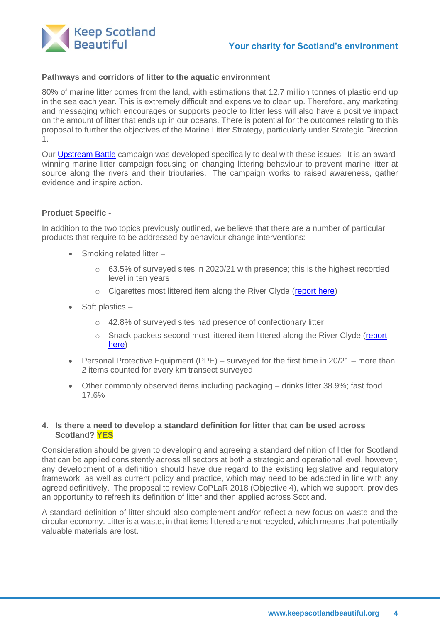

### **Pathways and corridors of litter to the aquatic environment**

80% of marine litter comes from the land, with estimations that 12.7 million tonnes of plastic end up in the sea each year. This is extremely difficult and expensive to clean up. Therefore, any marketing and messaging which encourages or supports people to litter less will also have a positive impact on the amount of litter that ends up in our oceans. There is potential for the outcomes relating to this proposal to further the objectives of the Marine Litter Strategy, particularly under Strategic Direction 1.

Our [Upstream Battle](https://www.keepscotlandbeautiful.org/upstream-battle/) campaign was developed specifically to deal with these issues. It is an awardwinning marine litter campaign focusing on changing littering behaviour to prevent marine litter at source along the rivers and their tributaries. The campaign works to raised awareness, gather evidence and inspire action.

#### **Product Specific -**

In addition to the two topics previously outlined, we believe that there are a number of particular products that require to be addressed by behaviour change interventions:

- Smoking related litter
	- o 63.5% of surveyed sites in 2020/21 with presence; this is the highest recorded level in ten years
	- o Cigarettes most littered item along the River Clyde [\(report here\)](https://www.keepscotlandbeautiful.org/media/1568879/upstream-battle-clyde-phase-2-report.pdf)
- Soft plastics
	- o 42.8% of surveyed sites had presence of confectionary litter
	- o Snack packets second most littered item littered along the River Clyde (report [here\)](https://www.keepscotlandbeautiful.org/media/1568879/upstream-battle-clyde-phase-2-report.pdf)
- Personal Protective Equipment (PPE) surveyed for the first time in 20/21 more than 2 items counted for every km transect surveyed
- Other commonly observed items including packaging drinks litter 38.9%; fast food 17.6%

### **4. Is there a need to develop a standard definition for litter that can be used across Scotland? YES**

Consideration should be given to developing and agreeing a standard definition of litter for Scotland that can be applied consistently across all sectors at both a strategic and operational level, however, any development of a definition should have due regard to the existing legislative and regulatory framework, as well as current policy and practice, which may need to be adapted in line with any agreed definitively. The proposal to review CoPLaR 2018 (Objective 4), which we support, provides an opportunity to refresh its definition of litter and then applied across Scotland.

A standard definition of litter should also complement and/or reflect a new focus on waste and the circular economy. Litter is a waste, in that items littered are not recycled, which means that potentially valuable materials are lost.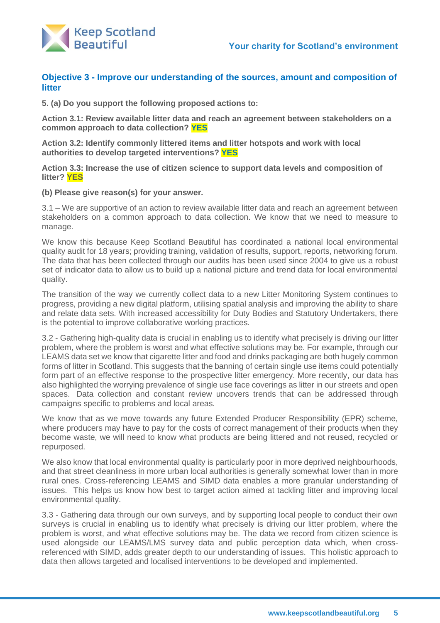

# **Objective 3 - Improve our understanding of the sources, amount and composition of litter**

**5. (a) Do you support the following proposed actions to:**

**Action 3.1: Review available litter data and reach an agreement between stakeholders on a common approach to data collection? YES**

**Action 3.2: Identify commonly littered items and litter hotspots and work with local authorities to develop targeted interventions? YES**

**Action 3.3: Increase the use of citizen science to support data levels and composition of litter? YES**

#### **(b) Please give reason(s) for your answer.**

3.1 – We are supportive of an action to review available litter data and reach an agreement between stakeholders on a common approach to data collection. We know that we need to measure to manage.

We know this because Keep Scotland Beautiful has coordinated a national local environmental quality audit for 18 years; providing training, validation of results, support, reports, networking forum. The data that has been collected through our audits has been used since 2004 to give us a robust set of indicator data to allow us to build up a national picture and trend data for local environmental quality.

The transition of the way we currently collect data to a new Litter Monitoring System continues to progress, providing a new digital platform, utilising spatial analysis and improving the ability to share and relate data sets. With increased accessibility for Duty Bodies and Statutory Undertakers, there is the potential to improve collaborative working practices.

3.2 - Gathering high-quality data is crucial in enabling us to identify what precisely is driving our litter problem, where the problem is worst and what effective solutions may be. For example, through our LEAMS data set we know that cigarette litter and food and drinks packaging are both hugely common forms of litter in Scotland. This suggests that the banning of certain single use items could potentially form part of an effective response to the prospective litter emergency. More recently, our data has also highlighted the worrying prevalence of single use face coverings as litter in our streets and open spaces. Data collection and constant review uncovers trends that can be addressed through campaigns specific to problems and local areas.

We know that as we move towards any future Extended Producer Responsibility (EPR) scheme, where producers may have to pay for the costs of correct management of their products when they become waste, we will need to know what products are being littered and not reused, recycled or repurposed.

We also know that local environmental quality is particularly poor in more deprived neighbourhoods, and that street cleanliness in more urban local authorities is generally somewhat lower than in more rural ones. Cross-referencing LEAMS and SIMD data enables a more granular understanding of issues. This helps us know how best to target action aimed at tackling litter and improving local environmental quality.

3.3 - Gathering data through our own surveys, and by supporting local people to conduct their own surveys is crucial in enabling us to identify what precisely is driving our litter problem, where the problem is worst, and what effective solutions may be. The data we record from citizen science is used alongside our LEAMS/LMS survey data and public perception data which, when crossreferenced with SIMD, adds greater depth to our understanding of issues. This holistic approach to data then allows targeted and localised interventions to be developed and implemented.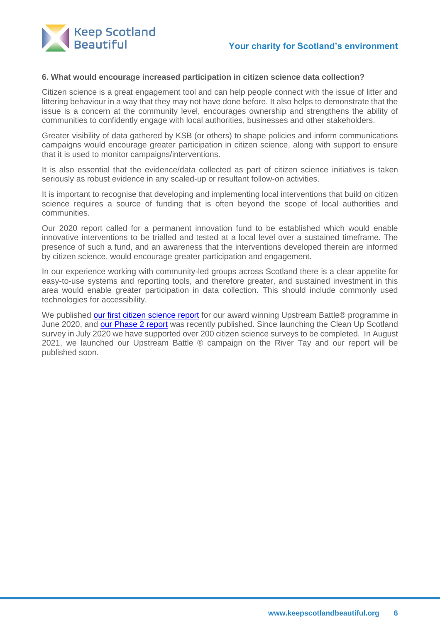

#### **6. What would encourage increased participation in citizen science data collection?**

Citizen science is a great engagement tool and can help people connect with the issue of litter and littering behaviour in a way that they may not have done before. It also helps to demonstrate that the issue is a concern at the community level, encourages ownership and strengthens the ability of communities to confidently engage with local authorities, businesses and other stakeholders.

Greater visibility of data gathered by KSB (or others) to shape policies and inform communications campaigns would encourage greater participation in citizen science, along with support to ensure that it is used to monitor campaigns/interventions.

It is also essential that the evidence/data collected as part of citizen science initiatives is taken seriously as robust evidence in any scaled-up or resultant follow-on activities.

It is important to recognise that developing and implementing local interventions that build on citizen science requires a source of funding that is often beyond the scope of local authorities and communities.

Our 2020 report called for a permanent innovation fund to be established which would enable innovative interventions to be trialled and tested at a local level over a sustained timeframe. The presence of such a fund, and an awareness that the interventions developed therein are informed by citizen science, would encourage greater participation and engagement.

In our experience working with community-led groups across Scotland there is a clear appetite for easy-to-use systems and reporting tools, and therefore greater, and sustained investment in this area would enable greater participation in data collection. This should include commonly used technologies for accessibility.

We published [our first citizen science report](https://www.keepscotlandbeautiful.org/media/1565911/ub-citizen-science-report-final-080620.pdf) for our award winning Upstream Battle® programme in June 2020, and [our Phase 2 report](https://www.keepscotlandbeautiful.org/media/1568879/upstream-battle-clyde-phase-2-report.pdf) was recently published. Since launching the Clean Up Scotland survey in July 2020 we have supported over 200 citizen science surveys to be completed. In August 2021, we launched our Upstream Battle ® campaign on the River Tay and our report will be published soon.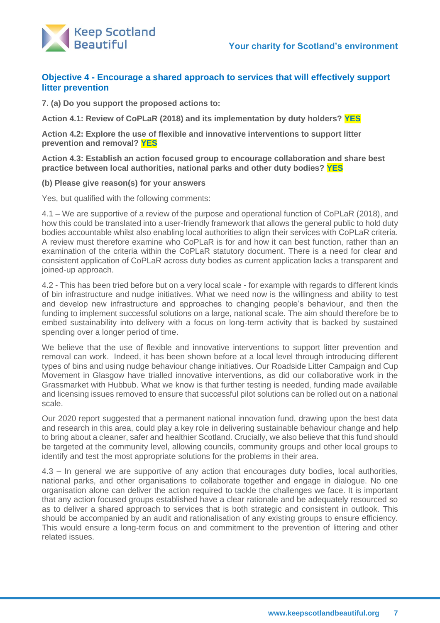



# **Objective 4 - Encourage a shared approach to services that will effectively support litter prevention**

**7. (a) Do you support the proposed actions to:**

**Action 4.1: Review of CoPLaR (2018) and its implementation by duty holders? YES**

**Action 4.2: Explore the use of flexible and innovative interventions to support litter prevention and removal? YES**

**Action 4.3: Establish an action focused group to encourage collaboration and share best practice between local authorities, national parks and other duty bodies? YES**

#### **(b) Please give reason(s) for your answers**

Yes, but qualified with the following comments:

4.1 – We are supportive of a review of the purpose and operational function of CoPLaR (2018), and how this could be translated into a user-friendly framework that allows the general public to hold duty bodies accountable whilst also enabling local authorities to align their services with CoPLaR criteria. A review must therefore examine who CoPLaR is for and how it can best function, rather than an examination of the criteria within the CoPLaR statutory document. There is a need for clear and consistent application of CoPLaR across duty bodies as current application lacks a transparent and joined-up approach.

4.2 - This has been tried before but on a very local scale - for example with regards to different kinds of bin infrastructure and nudge initiatives. What we need now is the willingness and ability to test and develop new infrastructure and approaches to changing people's behaviour, and then the funding to implement successful solutions on a large, national scale. The aim should therefore be to embed sustainability into delivery with a focus on long-term activity that is backed by sustained spending over a longer period of time.

We believe that the use of flexible and innovative interventions to support litter prevention and removal can work. Indeed, it has been shown before at a local level through introducing different types of bins and using nudge behaviour change initiatives. Our Roadside Litter Campaign and Cup Movement in Glasgow have trialled innovative interventions, as did our collaborative work in the Grassmarket with Hubbub. What we know is that further testing is needed, funding made available and licensing issues removed to ensure that successful pilot solutions can be rolled out on a national scale.

Our 2020 report suggested that a permanent national innovation fund, drawing upon the best data and research in this area, could play a key role in delivering sustainable behaviour change and help to bring about a cleaner, safer and healthier Scotland. Crucially, we also believe that this fund should be targeted at the community level, allowing councils, community groups and other local groups to identify and test the most appropriate solutions for the problems in their area.

4.3 – In general we are supportive of any action that encourages duty bodies, local authorities, national parks, and other organisations to collaborate together and engage in dialogue. No one organisation alone can deliver the action required to tackle the challenges we face. It is important that any action focused groups established have a clear rationale and be adequately resourced so as to deliver a shared approach to services that is both strategic and consistent in outlook. This should be accompanied by an audit and rationalisation of any existing groups to ensure efficiency. This would ensure a long-term focus on and commitment to the prevention of littering and other related issues.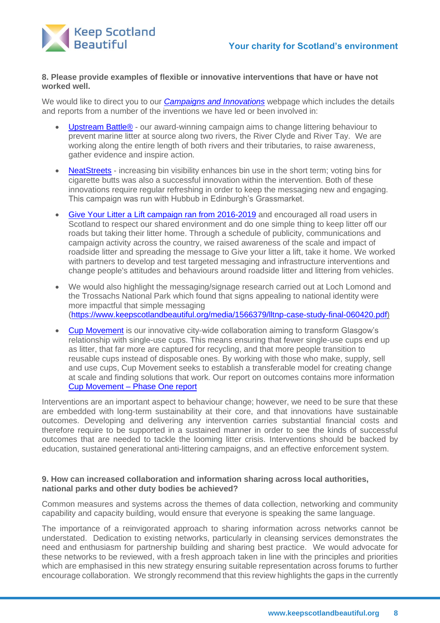

### **8. Please provide examples of flexible or innovative interventions that have or have not worked well.**

We would like to direct you to our *[Campaigns and Innovations](https://www.keepscotlandbeautiful.org/about-us/our-campaigns-and-innovations/)* webpage which includes the details and reports from a number of the inventions we have led or been involved in:

- [Upstream Battle®](https://www.keepscotlandbeautiful.org/upstream-battle/) our award-winning campaign aims to change littering behaviour to prevent marine litter at source along two rivers, the River Clyde and River Tay. We are working along the entire length of both rivers and their tributaries, to raise awareness, gather evidence and inspire action.
- [NeatStreets](https://www.keepscotlandbeautiful.org/about-us/our-campaigns-and-innovations/neat-streets/) increasing bin visibility enhances bin use in the short term; voting bins for cigarette butts was also a successful innovation within the intervention. Both of these innovations require regular refreshing in order to keep the messaging new and engaging. This campaign was run with Hubbub in Edinburgh's Grassmarket.
- [Give Your Litter a Lift campaign ran from 2016-2019](https://www.keepscotlandbeautiful.org/roadside-litter-campaign/) and encouraged all road users in Scotland to respect our shared environment and do one simple thing to keep litter off our roads but taking their litter home. Through a schedule of publicity, communications and campaign activity across the country, we raised awareness of the scale and impact of roadside litter and spreading the message to Give your litter a lift, take it home. We worked with partners to develop and test targeted messaging and infrastructure interventions and change people's attitudes and behaviours around roadside litter and littering from vehicles.
- We would also highlight the messaging/signage research carried out at Loch Lomond and the Trossachs National Park which found that signs appealing to national identity were more impactful that simple messaging [\(https://www.keepscotlandbeautiful.org/media/1566379/lltnp-case-study-final-060420.pdf\)](https://www.keepscotlandbeautiful.org/media/1566379/lltnp-case-study-final-060420.pdf)
- [Cup Movement](https://www.keepscotlandbeautiful.org/cup-movement/) is our innovative city-wide collaboration aiming to transform Glasgow's relationship with single-use cups. This means ensuring that fewer single-use cups end up as litter, that far more are captured for recycling, and that more people transition to reusable cups instead of disposable ones. By working with those who make, supply, sell and use cups, Cup Movement seeks to establish a transferable model for creating change at scale and finding solutions that work. Our report on outcomes contains more information Cup Movement – [Phase One report](https://www.keepscotlandbeautiful.org/media/1566638/cup-movemet-phase-one-overview_final-161020.pdf)

Interventions are an important aspect to behaviour change; however, we need to be sure that these are embedded with long-term sustainability at their core, and that innovations have sustainable outcomes. Developing and delivering any intervention carries substantial financial costs and therefore require to be supported in a sustained manner in order to see the kinds of successful outcomes that are needed to tackle the looming litter crisis. Interventions should be backed by education, sustained generational anti-littering campaigns, and an effective enforcement system.

### **9. How can increased collaboration and information sharing across local authorities, national parks and other duty bodies be achieved?**

Common measures and systems across the themes of data collection, networking and community capability and capacity building, would ensure that everyone is speaking the same language.

The importance of a reinvigorated approach to sharing information across networks cannot be understated. Dedication to existing networks, particularly in cleansing services demonstrates the need and enthusiasm for partnership building and sharing best practice. We would advocate for these networks to be reviewed, with a fresh approach taken in line with the principles and priorities which are emphasised in this new strategy ensuring suitable representation across forums to further encourage collaboration. We strongly recommend that this review highlights the gaps in the currently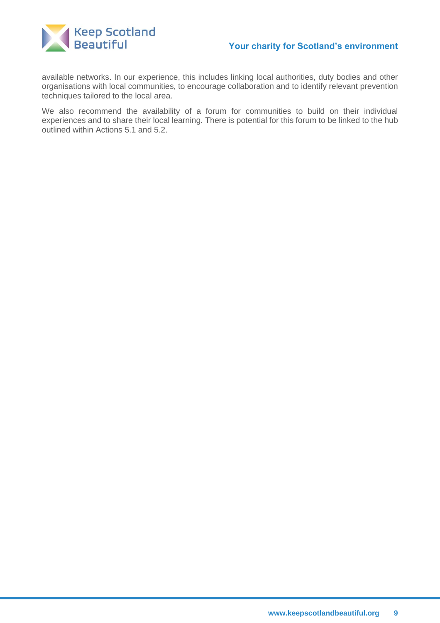

available networks. In our experience, this includes linking local authorities, duty bodies and other organisations with local communities, to encourage collaboration and to identify relevant prevention techniques tailored to the local area.

We also recommend the availability of a forum for communities to build on their individual experiences and to share their local learning. There is potential for this forum to be linked to the hub outlined within Actions 5.1 and 5.2.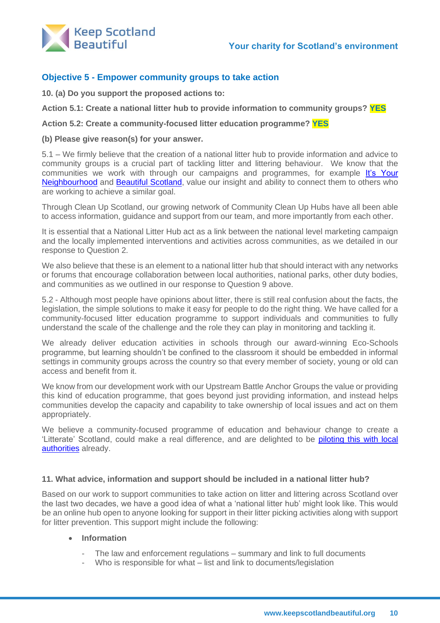

# **Objective 5 - Empower community groups to take action**

**10. (a) Do you support the proposed actions to:**

**Action 5.1: Create a national litter hub to provide information to community groups? YES**

**Action 5.2: Create a community-focused litter education programme? YES**

### **(b) Please give reason(s) for your answer.**

5.1 – We firmly believe that the creation of a national litter hub to provide information and advice to community groups is a crucial part of tackling litter and littering behaviour. We know that the communities we work with through our campaigns and programmes, for example It's Your [Neighbourhood](https://www.keepscotlandbeautiful.org/community-and-place/its-your-neighbourhood/) and [Beautiful Scotland,](https://www.keepscotlandbeautiful.org/community-and-place/beautiful-scotland/) value our insight and ability to connect them to others who are working to achieve a similar goal.

Through Clean Up Scotland, our growing network of Community Clean Up Hubs have all been able to access information, guidance and support from our team, and more importantly from each other.

It is essential that a National Litter Hub act as a link between the national level marketing campaign and the locally implemented interventions and activities across communities, as we detailed in our response to Question 2.

We also believe that these is an element to a national litter hub that should interact with any networks or forums that encourage collaboration between local authorities, national parks, other duty bodies, and communities as we outlined in our response to Question 9 above.

5.2 - Although most people have opinions about litter, there is still real confusion about the facts, the legislation, the simple solutions to make it easy for people to do the right thing. We have called for a community-focused litter education programme to support individuals and communities to fully understand the scale of the challenge and the role they can play in monitoring and tackling it.

We already deliver education activities in schools through our award-winning Eco-Schools programme, but learning shouldn't be confined to the classroom it should be embedded in informal settings in community groups across the country so that every member of society, young or old can access and benefit from it.

We know from our development work with our Upstream Battle Anchor Groups the value or providing this kind of education programme, that goes beyond just providing information, and instead helps communities develop the capacity and capability to take ownership of local issues and act on them appropriately.

We believe a community-focused programme of education and behaviour change to create a 'Litterate' Scotland, could make a real difference, and are delighted to be piloting this with local [authorities](https://www.keepscotlandbeautiful.org/news/march-2022/glasgow-city-council-the-first-to-trial-our-innovative-community-focused-education-programme/) already.

#### **11. What advice, information and support should be included in a national litter hub?**

Based on our work to support communities to take action on litter and littering across Scotland over the last two decades, we have a good idea of what a 'national litter hub' might look like. This would be an online hub open to anyone looking for support in their litter picking activities along with support for litter prevention. This support might include the following:

### • **Information**

- The law and enforcement regulations summary and link to full documents
- Who is responsible for what list and link to documents/legislation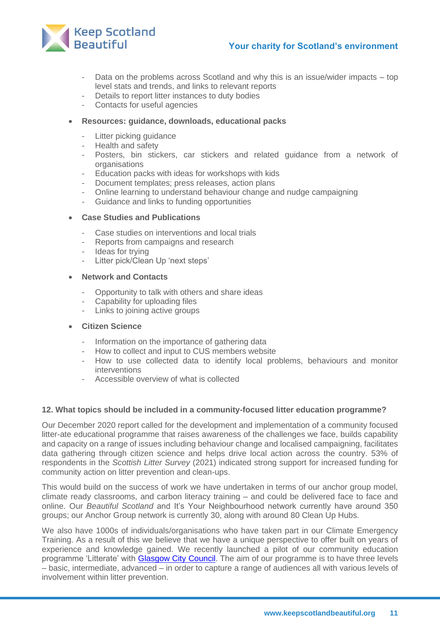



- Data on the problems across Scotland and why this is an issue/wider impacts top level stats and trends, and links to relevant reports
- Details to report litter instances to duty bodies
- Contacts for useful agencies

### • **Resources: guidance, downloads, educational packs**

- Litter picking guidance
- Health and safety
- Posters, bin stickers, car stickers and related guidance from a network of **organisations**
- Education packs with ideas for workshops with kids
- Document templates; press releases, action plans
- Online learning to understand behaviour change and nudge campaigning
- Guidance and links to funding opportunities
- **Case Studies and Publications**
	- Case studies on interventions and local trials
	- Reports from campaigns and research
	- Ideas for trying
	- Litter pick/Clean Up 'next steps'

#### • **Network and Contacts**

- Opportunity to talk with others and share ideas
- Capability for uploading files
- Links to joining active groups

#### • **Citizen Science**

- Information on the importance of gathering data
- How to collect and input to CUS members website
- How to use collected data to identify local problems, behaviours and monitor interventions
- Accessible overview of what is collected

### **12. What topics should be included in a community-focused litter education programme?**

Our December 2020 report called for the development and implementation of a community focused litter-ate educational programme that raises awareness of the challenges we face, builds capability and capacity on a range of issues including behaviour change and localised campaigning, facilitates data gathering through citizen science and helps drive local action across the country. 53% of respondents in the *Scottish Litter Survey* (2021) indicated strong support for increased funding for community action on litter prevention and clean-ups.

This would build on the success of work we have undertaken in terms of our anchor group model, climate ready classrooms, and carbon literacy training – and could be delivered face to face and online. Our *Beautiful Scotland* and It's Your Neighbourhood network currently have around 350 groups; our Anchor Group network is currently 30, along with around 80 Clean Up Hubs.

We also have 1000s of individuals/organisations who have taken part in our Climate Emergency Training. As a result of this we believe that we have a unique perspective to offer built on years of experience and knowledge gained. We recently launched a pilot of our community education programme 'Litterate' with [Glasgow City Council.](https://www.keepscotlandbeautiful.org/news/march-2022/glasgow-city-council-the-first-to-trial-our-innovative-community-focused-education-programme/) The aim of our programme is to have three levels – basic, intermediate, advanced – in order to capture a range of audiences all with various levels of involvement within litter prevention.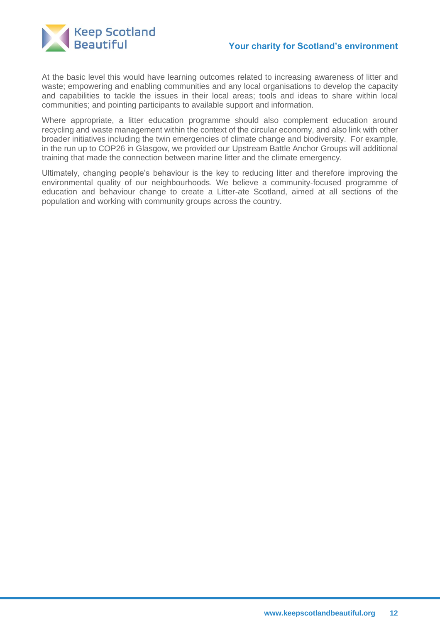

# **Your charity for Scotland's environment**

At the basic level this would have learning outcomes related to increasing awareness of litter and waste; empowering and enabling communities and any local organisations to develop the capacity and capabilities to tackle the issues in their local areas; tools and ideas to share within local communities; and pointing participants to available support and information.

Where appropriate, a litter education programme should also complement education around recycling and waste management within the context of the circular economy, and also link with other broader initiatives including the twin emergencies of climate change and biodiversity. For example, in the run up to COP26 in Glasgow, we provided our Upstream Battle Anchor Groups will additional training that made the connection between marine litter and the climate emergency.

Ultimately, changing people's behaviour is the key to reducing litter and therefore improving the environmental quality of our neighbourhoods. We believe a community-focused programme of education and behaviour change to create a Litter-ate Scotland, aimed at all sections of the population and working with community groups across the country.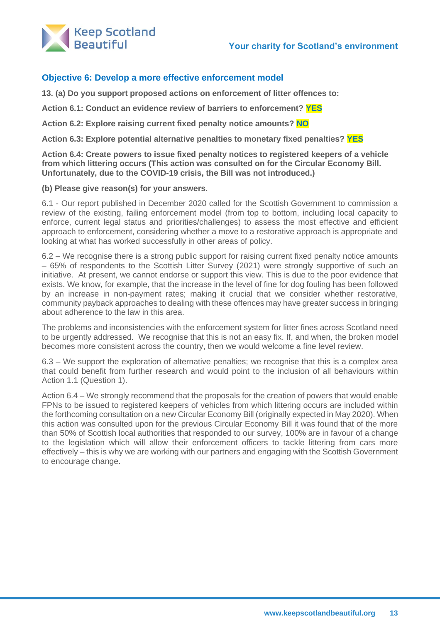

# **Objective 6: Develop a more effective enforcement model**

**13. (a) Do you support proposed actions on enforcement of litter offences to:**

**Action 6.1: Conduct an evidence review of barriers to enforcement? YES**

**Action 6.2: Explore raising current fixed penalty notice amounts? NO**

**Action 6.3: Explore potential alternative penalties to monetary fixed penalties? YES**

**Action 6.4: Create powers to issue fixed penalty notices to registered keepers of a vehicle from which littering occurs (This action was consulted on for the Circular Economy Bill. Unfortunately, due to the COVID-19 crisis, the Bill was not introduced.)**

**(b) Please give reason(s) for your answers.**

6.1 - Our report published in December 2020 called for the Scottish Government to commission a review of the existing, failing enforcement model (from top to bottom, including local capacity to enforce, current legal status and priorities/challenges) to assess the most effective and efficient approach to enforcement, considering whether a move to a restorative approach is appropriate and looking at what has worked successfully in other areas of policy.

6.2 – We recognise there is a strong public support for raising current fixed penalty notice amounts – 65% of respondents to the Scottish Litter Survey (2021) were strongly supportive of such an initiative. At present, we cannot endorse or support this view. This is due to the poor evidence that exists. We know, for example, that the increase in the level of fine for dog fouling has been followed by an increase in non-payment rates; making it crucial that we consider whether restorative, community payback approaches to dealing with these offences may have greater success in bringing about adherence to the law in this area.

The problems and inconsistencies with the enforcement system for litter fines across Scotland need to be urgently addressed. We recognise that this is not an easy fix. If, and when, the broken model becomes more consistent across the country, then we would welcome a fine level review.

6.3 – We support the exploration of alternative penalties; we recognise that this is a complex area that could benefit from further research and would point to the inclusion of all behaviours within Action 1.1 (Question 1).

Action 6.4 – We strongly recommend that the proposals for the creation of powers that would enable FPNs to be issued to registered keepers of vehicles from which littering occurs are included within the forthcoming consultation on a new Circular Economy Bill (originally expected in May 2020). When this action was consulted upon for the previous Circular Economy Bill it was found that of the more than 50% of Scottish local authorities that responded to our survey, 100% are in favour of a change to the legislation which will allow their enforcement officers to tackle littering from cars more effectively – this is why we are working with our partners and engaging with the Scottish Government to encourage change.